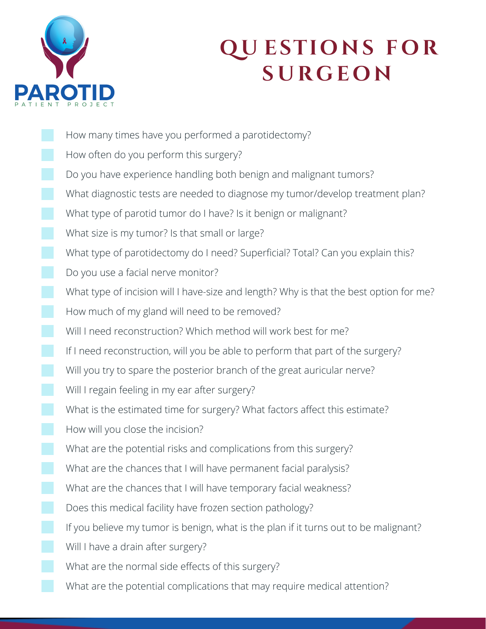

## **Q U E S T I O N S F O R S URG E O N**

How many times have you performed a parotidectomy? How often do you perform this surgery? Do you have experience handling both benign and malignant tumors? What diagnostic tests are needed to diagnose my tumor/develop treatment plan? What type of parotid tumor do I have? Is it benign or malignant? What size is my tumor? Is that small or large? What type of parotidectomy do I need? Superficial? Total? Can you explain this? Do you use a facial nerve monitor? What type of incision will I have-size and length? Why is that the best option for me? How much of my gland will need to be removed? Will I need reconstruction? Which method will work best for me? If I need reconstruction, will you be able to perform that part of the surgery? Will you try to spare the posterior branch of the great auricular nerve? Will I regain feeling in my ear after surgery? What is the estimated time for surgery? What factors affect this estimate? How will you close the incision? What are the potential risks and complications from this surgery? What are the chances that I will have permanent facial paralysis? What are the chances that I will have temporary facial weakness? Does this medical facility have frozen section pathology? If you believe my tumor is benign, what is the plan if it turns out to be malignant? Will I have a drain after surgery? What are the normal side effects of this surgery? What are the potential complications that may require medical attention?